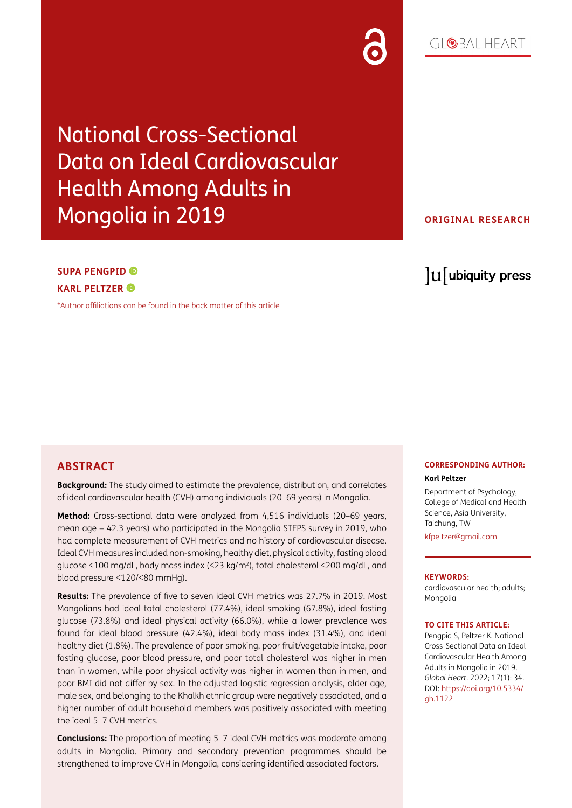## $G[QBA] HFART$

National Cross-Sectional Data on Ideal Cardiovascular Health Among Adults in Mongolia in 2019

### **ORIGINAL RESEARCH**

## **SUPA PENGPID KARL PELTZER**

[\\*Author affiliations can be found in the back matter of this article](#page-10-0)

## lu ubiquity press

#### **ABSTRACT**

**Background:** The study aimed to estimate the prevalence, distribution, and correlates of ideal cardiovascular health (CVH) among individuals (20–69 years) in Mongolia.

**Method:** Cross-sectional data were analyzed from 4,516 individuals (20–69 years, mean age = 42.3 years) who participated in the Mongolia STEPS survey in 2019, who had complete measurement of CVH metrics and no history of cardiovascular disease. Ideal CVH measures included non-smoking, healthy diet, physical activity, fasting blood glucose <100 mg/dL, body mass index (<23 kg/m2), total cholesterol <200 mg/dL, and blood pressure <120/<80 mmHg).

**Results:** The prevalence of five to seven ideal CVH metrics was 27.7% in 2019. Most Mongolians had ideal total cholesterol (77.4%), ideal smoking (67.8%), ideal fasting glucose (73.8%) and ideal physical activity (66.0%), while a lower prevalence was found for ideal blood pressure (42.4%), ideal body mass index (31.4%), and ideal healthy diet (1.8%). The prevalence of poor smoking, poor fruit/vegetable intake, poor fasting glucose, poor blood pressure, and poor total cholesterol was higher in men than in women, while poor physical activity was higher in women than in men, and poor BMI did not differ by sex. In the adjusted logistic regression analysis, older age, male sex, and belonging to the Khalkh ethnic group were negatively associated, and a higher number of adult household members was positively associated with meeting the ideal 5–7 CVH metrics.

**Conclusions:** The proportion of meeting 5–7 ideal CVH metrics was moderate among adults in Mongolia. Primary and secondary prevention programmes should be strengthened to improve CVH in Mongolia, considering identified associated factors.

#### **CORRESPONDING AUTHOR:**

#### **Karl Peltzer**

Department of Psychology, College of Medical and Health Science, Asia University, Taichung, TW

[kfpeltzer@gmail.com](mailto:kfpeltzer@gmail.com)

#### **KEYWORDS:**

cardiovascular health; adults; Mongolia

#### **TO CITE THIS ARTICLE:**

Pengpid S, Peltzer K. National Cross-Sectional Data on Ideal Cardiovascular Health Among Adults in Mongolia in 2019. *Global Heart*. 2022; 17(1): 34. DOI: [https://doi.org/10.5334/](https://doi.org/10.5334/gh.1122) [gh.1122](https://doi.org/10.5334/gh.1122)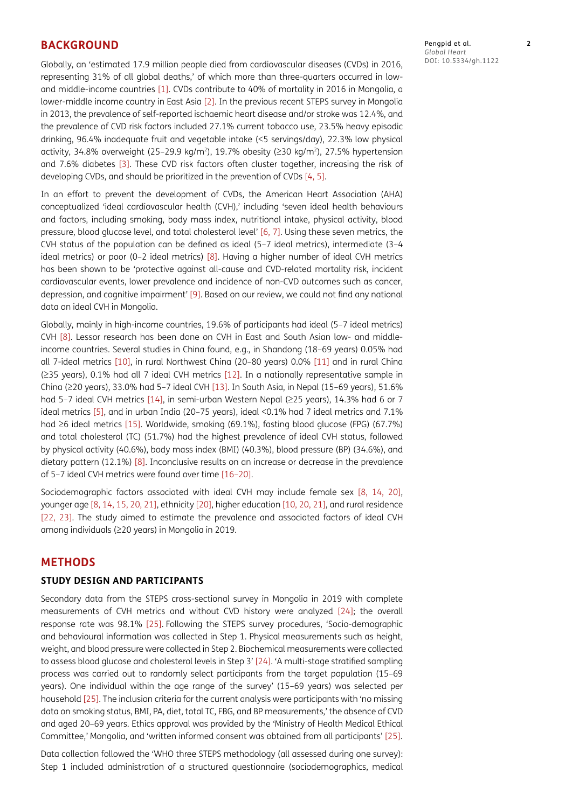#### **BACKGROUND**

Globally, an 'estimated 17.9 million people died from cardiovascular diseases (CVDs) in 2016, representing 31% of all global deaths,' of which more than three-quarters occurred in lowand middle-income countries [\[1\]](#page-10-1). CVDs contribute to 40% of mortality in 2016 in Mongolia, a lower-middle income country in East Asia [\[2\]](#page-10-2). In the previous recent STEPS survey in Mongolia in 2013, the prevalence of self-reported ischaemic heart disease and/or stroke was 12.4%, and the prevalence of CVD risk factors included 27.1% current tobacco use, 23.5% heavy episodic drinking, 96.4% inadequate fruit and vegetable intake (<5 servings/day), 22.3% low physical activity, 34.8% overweight (25–29.9 kg/m<sup>2</sup>), 19.7% obesity ( $\geq$ 30 kg/m<sup>2</sup>), 27.5% hypertension and 7.6% diabetes [\[3\].](#page-10-3) These CVD risk factors often cluster together, increasing the risk of developing CVDs, and should be prioritized in the prevention of CVDs [4, [5](#page-10-4)].

In an effort to prevent the development of CVDs, the American Heart Association (AHA) conceptualized 'ideal cardiovascular health (CVH),' including 'seven ideal health behaviours and factors, including smoking, body mass index, nutritional intake, physical activity, blood pressure, blood glucose level, and total cholesterol level' [[6](#page-10-5), [7\]](#page-10-6). Using these seven metrics, the CVH status of the population can be defined as ideal (5–7 ideal metrics), intermediate (3–4 ideal metrics) or poor (0–2 ideal metrics) [\[8\]](#page-10-7). Having a higher number of ideal CVH metrics has been shown to be 'protective against all-cause and CVD-related mortality risk, incident cardiovascular events, lower prevalence and incidence of non-CVD outcomes such as cancer, depression, and cognitive impairment' [\[9\].](#page-10-8) Based on our review, we could not find any national data on ideal CVH in Mongolia.

Globally, mainly in high-income countries, 19.6% of participants had ideal (5–7 ideal metrics) CVH [\[8\].](#page-10-7) Lessor research has been done on CVH in East and South Asian low- and middleincome countries. Several studies in China found, e.g., in Shandong (18–69 years) 0.05% had all 7-ideal metrics [\[10\],](#page-10-9) in rural Northwest China (20–80 years) 0.0% [\[11\]](#page-10-10) and in rural China (≥35 years), 0.1% had all 7 ideal CVH metrics [\[12\].](#page-10-11) In a nationally representative sample in China (≥20 years), 33.0% had 5–7 ideal CVH [\[13\].](#page-10-12) In South Asia, in Nepal (15–69 years), 51.6% had 5–7 ideal CVH metrics [\[14\],](#page-10-13) in semi-urban Western Nepal (≥25 years), 14.3% had 6 or 7 ideal metrics [\[5\]](#page-10-4), and in urban India (20–75 years), ideal <0.1% had 7 ideal metrics and 7.1% had ≥6 ideal metrics [\[15\]](#page-10-14). Worldwide, smoking (69.1%), fasting blood glucose (FPG) (67.7%) and total cholesterol (TC) (51.7%) had the highest prevalence of ideal CVH status, followed by physical activity (40.6%), body mass index (BMI) (40.3%), blood pressure (BP) (34.6%), and dietary pattern (12.1%) [\[8\]](#page-10-7). Inconclusive results on an increase or decrease in the prevalence of 5–7 ideal CVH metrics were found over time [\[16–](#page-10-15)[20\]](#page-11-0).

Sociodemographic factors associated with ideal CVH may include female sex [[8,](#page-10-7) [14,](#page-10-13) [20](#page-11-0)], younger age [\[8](#page-10-7), [14,](#page-10-13) [15](#page-10-14), [20,](#page-11-0) [21](#page-11-1)], ethnicity [\[20\]](#page-11-0), higher education [[10](#page-10-9), [20,](#page-11-0) [21](#page-11-1)], and rural residence [\[22,](#page-11-2) [23](#page-11-3)]. The study aimed to estimate the prevalence and associated factors of ideal CVH among individuals (≥20 years) in Mongolia in 2019.

#### **METHODS**

#### **STUDY DESIGN AND PARTICIPANTS**

Secondary data from the STEPS cross-sectional survey in Mongolia in 2019 with complete measurements of CVH metrics and without CVD history were analyzed [\[24\];](#page-11-4) the overall response rate was 98.1% [\[25\]](#page-11-5). Following the STEPS survey procedures, 'Socio-demographic and behavioural information was collected in Step 1. Physical measurements such as height, weight, and blood pressure were collected in Step 2. Biochemical measurements were collected to assess blood glucose and cholesterol levels in Step 3' [\[24\].](#page-11-4) 'A multi-stage stratified sampling process was carried out to randomly select participants from the target population (15–69 years). One individual within the age range of the survey' (15–69 years) was selected per household [\[25\].](#page-11-5) The inclusion criteria for the current analysis were participants with 'no missing data on smoking status, BMI, PA, diet, total TC, FBG, and BP measurements,' the absence of CVD and aged 20–69 years. Ethics approval was provided by the 'Ministry of Health Medical Ethical Committee,' Mongolia, and 'written informed consent was obtained from all participants' [\[25\].](#page-11-5)

Data collection followed the 'WHO three STEPS methodology (all assessed during one survey): Step 1 included administration of a structured questionnaire (sociodemographics, medical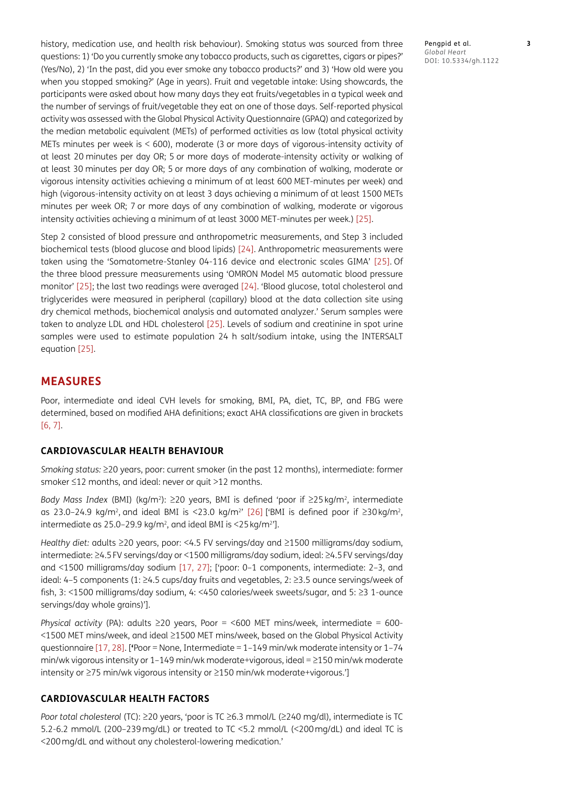history, medication use, and health risk behaviour). Smoking status was sourced from three questions: 1) 'Do you currently smoke any tobacco products, such as cigarettes, cigars or pipes?' (Yes/No), 2) 'In the past, did you ever smoke any tobacco products?' and 3) 'How old were you when you stopped smoking?' (Age in years). Fruit and vegetable intake: Using showcards, the participants were asked about how many days they eat fruits/vegetables in a typical week and the number of servings of fruit/vegetable they eat on one of those days. Self-reported physical activity was assessed with the Global Physical Activity Questionnaire (GPAQ) and categorized by the median metabolic equivalent (METs) of performed activities as low (total physical activity METs minutes per week is < 600), moderate (3 or more days of vigorous-intensity activity of at least 20 minutes per day OR; 5 or more days of moderate-intensity activity or walking of at least 30 minutes per day OR; 5 or more days of any combination of walking, moderate or vigorous intensity activities achieving a minimum of at least 600 MET-minutes per week) and high (vigorous-intensity activity on at least 3 days achieving a minimum of at least 1500 METs minutes per week OR; 7 or more days of any combination of walking, moderate or vigorous intensity activities achieving a minimum of at least 3000 MET-minutes per week.) [\[25\].](#page-11-5)

Step 2 consisted of blood pressure and anthropometric measurements, and Step 3 included biochemical tests (blood glucose and blood lipids) [\[24\]](#page-11-4). Anthropometric measurements were taken using the 'Somatometre-Stanley 04-116 device and electronic scales GIMA' [\[25\].](#page-11-5) Of the three blood pressure measurements using 'OMRON Model M5 automatic blood pressure monitor' [\[25\];](#page-11-5) the last two readings were averaged [\[24\]](#page-11-4). 'Blood glucose, total cholesterol and triglycerides were measured in peripheral (capillary) blood at the data collection site using dry chemical methods, biochemical analysis and automated analyzer.' Serum samples were taken to analyze LDL and HDL cholesterol [\[25\].](#page-11-5) Levels of sodium and creatinine in spot urine samples were used to estimate population 24 h salt/sodium intake, using the INTERSALT equation [\[25\].](#page-11-5)

#### **MEASURES**

Poor, intermediate and ideal CVH levels for smoking, BMI, PA, diet, TC, BP, and FBG were determined, based on modified AHA definitions; exact AHA classifications are given in brackets [\[6,](#page-10-5) [7](#page-10-6)].

#### **CARDIOVASCULAR HEALTH BEHAVIOUR**

*Smoking status:* ≥20 years, poor: current smoker (in the past 12 months), intermediate: former smoker ≤12 months, and ideal: never or quit >12 months.

*Body Mass Index* (BMI) (kg/m2): ≥20 years, BMI is defined 'poor if ≥25kg/m2, intermediate as 23.0–24.9 kg/m<sup>2</sup>, and ideal BMI is <23.0 kg/m<sup>2</sup> [\[26\]](#page-11-6) ['BMI is defined poor if  $\geq 30$ kg/m<sup>2</sup>, intermediate as 25.0-29.9 kg/m<sup>2</sup>, and ideal BMI is <25 kg/m<sup>2</sup>'].

*Healthy diet:* adults ≥20 years, poor: <4.5 FV servings/day and ≥1500 milligrams/day sodium, intermediate: ≥4.5FV servings/day or <1500 milligrams/day sodium, ideal: ≥4.5FV servings/day and <1500 milligrams/day sodium [\[17,](#page-10-16) [27\]](#page-11-7); ['poor: 0–1 components, intermediate: 2–3, and ideal: 4–5 components (1: ≥4.5 cups/day fruits and vegetables, 2: ≥3.5 ounce servings/week of fish, 3: <1500 milligrams/day sodium, 4: <450 calories/week sweets/sugar, and 5: ≥3 1-ounce servings/day whole grains)'].

*Physical activity* (PA): adults ≥20 years, Poor = <600 MET mins/week, intermediate = 600- <1500 MET mins/week, and ideal ≥1500 MET mins/week, based on the Global Physical Activity questionnaire [\[17](#page-10-16), [28\].](#page-11-8) [**'**Poor = None, Intermediate = 1–149 min/wk moderate intensity or 1–74 min/wk vigorous intensity or 1–149 min/wk moderate+vigorous, ideal = ≥150 min/wk moderate intensity or ≥75 min/wk vigorous intensity or ≥150 min/wk moderate+vigorous.']

#### **CARDIOVASCULAR HEALTH FACTORS**

*Poor total cholesterol* (TC): ≥20 years, 'poor is TC ≥6.3 mmol/L (≥240 mg/dl), intermediate is TC 5.2-6.2 mmol/L (200–239mg/dL) or treated to TC <5.2 mmol/L (<200mg/dL) and ideal TC is <200mg/dL and without any cholesterol-lowering medication.'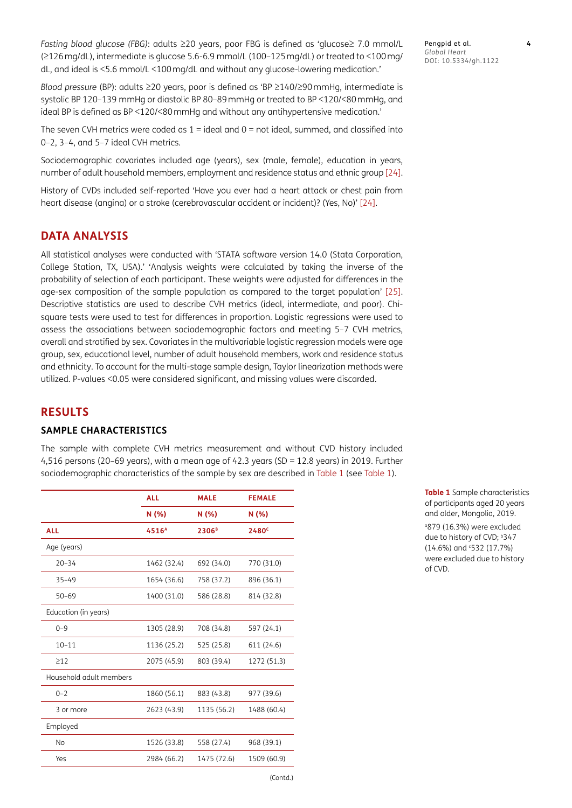*Fasting blood glucose (FBG)*: adults ≥20 years, poor FBG is defined as 'glucose≥ 7.0 mmol/L (≥126mg/dL), intermediate is glucose 5.6-6.9 mmol/L (100–125mg/dL) or treated to <100mg/ dL, and ideal is <5.6 mmol/L <100mg/dL and without any glucose-lowering medication.'

*Blood pressure* (BP): adults ≥20 years, poor is defined as 'BP ≥140/≥90mmHg, intermediate is systolic BP 120–139 mmHg or diastolic BP 80–89mmHg or treated to BP <120/<80mmHg, and ideal BP is defined as BP <120/<80mmHg and without any antihypertensive medication.'

The seven CVH metrics were coded as  $1 =$  ideal and  $0 =$  not ideal, summed, and classified into 0–2, 3–4, and 5–7 ideal CVH metrics.

Sociodemographic covariates included age (years), sex (male, female), education in years, number of adult household members, employment and residence status and ethnic group [\[24\]](#page-11-4).

History of CVDs included self-reported 'Have you ever had a heart attack or chest pain from heart disease (angina) or a stroke (cerebrovascular accident or incident)? (Yes, No)' [\[24\].](#page-11-4)

### **DATA ANALYSIS**

All statistical analyses were conducted with 'STATA software version 14.0 (Stata Corporation, College Station, TX, USA).' 'Analysis weights were calculated by taking the inverse of the probability of selection of each participant. These weights were adjusted for differences in the age-sex composition of the sample population as compared to the target population' [\[25\]](#page-11-5). Descriptive statistics are used to describe CVH metrics (ideal, intermediate, and poor). Chisquare tests were used to test for differences in proportion. Logistic regressions were used to assess the associations between sociodemographic factors and meeting 5–7 CVH metrics, overall and stratified by sex. Covariates in the multivariable logistic regression models were age group, sex, educational level, number of adult household members, work and residence status and ethnicity. To account for the multi-stage sample design, Taylor linearization methods were utilized. P-values <0.05 were considered significant, and missing values were discarded.

#### **RESULTS**

#### **SAMPLE CHARACTERISTICS**

The sample with complete CVH metrics measurement and without CVD history included 4,516 persons (20–69 years), with a mean age of 42.3 years (SD = 12.8 years) in 2019. Further sociodemographic characteristics of the sample by sex are described in [Table 1](#page-3-0) (see [Table 1\)](#page-3-0).

|                         | <b>ALL</b>        | <b>MALE</b>       | <b>FEMALE</b>     |
|-------------------------|-------------------|-------------------|-------------------|
|                         | N (%)             | N (%)             | N (%)             |
| <b>ALL</b>              | 4516 <sup>A</sup> | 2306 <sup>B</sup> | 2480 <sup>c</sup> |
| Age (years)             |                   |                   |                   |
| $20 - 34$               | 1462 (32.4)       | 692 (34.0)        | 770 (31.0)        |
| $35 - 49$               | 1654 (36.6)       | 758 (37.2)        | 896 (36.1)        |
| $50 - 69$               | 1400 (31.0)       | 586 (28.8)        | 814 (32.8)        |
| Education (in years)    |                   |                   |                   |
| $0 - 9$                 | 1305 (28.9)       | 708 (34.8)        | 597 (24.1)        |
| $10 - 11$               | 1136 (25.2)       | 525 (25.8)        | 611 (24.6)        |
| $\geq$ 12               | 2075 (45.9)       | 803 (39.4)        | 1272 (51.3)       |
| Household adult members |                   |                   |                   |
| $0 - 2$                 | 1860 (56.1)       | 883 (43.8)        | 977 (39.6)        |
| 3 or more               | 2623 (43.9)       | 1135 (56.2)       | 1488 (60.4)       |
| Employed                |                   |                   |                   |
| No                      | 1526 (33.8)       | 558 (27.4)        | 968 (39.1)        |
| Yes                     | 2984 (66.2)       | 1475 (72.6)       | 1509 (60.9)       |
|                         |                   |                   |                   |

<span id="page-3-0"></span>**Table 1** Sample characteristics of participants aged 20 years and older, Mongolia, 2019. a 879 (16.3%) were excluded due to history of CVD; <sup>b</sup>347 (14.6%) and c532 (17.7%) were excluded due to history of CVD.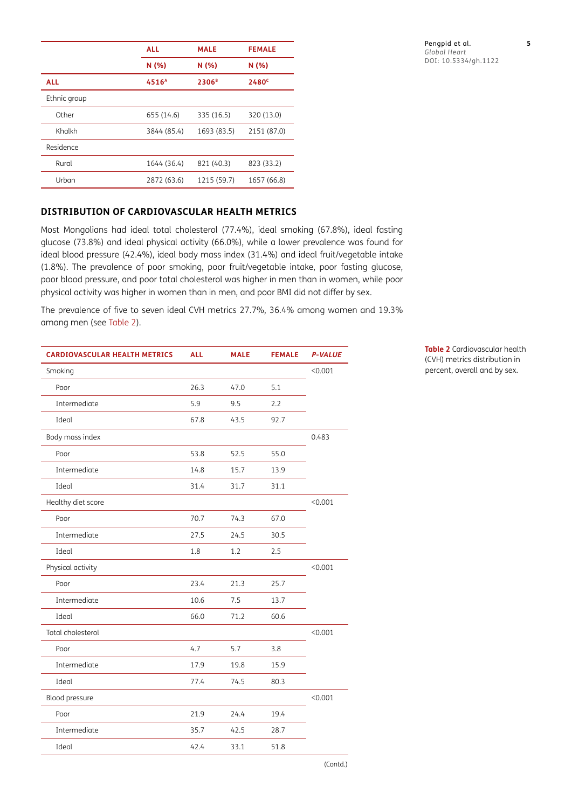|              | <b>ALL</b>        | <b>MALE</b>       | <b>FEMALE</b>     |
|--------------|-------------------|-------------------|-------------------|
|              | N (%)             | N (%)             | N (%)             |
| <b>ALL</b>   | 4516 <sup>A</sup> | 2306 <sup>B</sup> | 2480 <sup>c</sup> |
| Ethnic group |                   |                   |                   |
| Other        | 655 (14.6)        | 335 (16.5)        | 320 (13.0)        |
| Khalkh       | 3844 (85.4)       | 1693 (83.5)       | 2151 (87.0)       |
| Residence    |                   |                   |                   |
| Rural        | 1644 (36.4)       | 821 (40.3)        | 823 (33.2)        |
| Urban        | 2872 (63.6)       | 1215 (59.7)       | 1657 (66.8)       |

#### **DISTRIBUTION OF CARDIOVASCULAR HEALTH METRICS**

Most Mongolians had ideal total cholesterol (77.4%), ideal smoking (67.8%), ideal fasting glucose (73.8%) and ideal physical activity (66.0%), while a lower prevalence was found for ideal blood pressure (42.4%), ideal body mass index (31.4%) and ideal fruit/vegetable intake (1.8%). The prevalence of poor smoking, poor fruit/vegetable intake, poor fasting glucose, poor blood pressure, and poor total cholesterol was higher in men than in women, while poor physical activity was higher in women than in men, and poor BMI did not differ by sex.

The prevalence of five to seven ideal CVH metrics 27.7%, 36.4% among women and 19.3% among men (see [Table 2\)](#page-4-0).

| <b>CARDIOVASCULAR HEALTH METRICS</b> | <b>ALL</b> | <b>MALE</b> | <b>FEMALE</b> | <b>P-VALUE</b> |
|--------------------------------------|------------|-------------|---------------|----------------|
| Smoking                              |            |             |               | < 0.001        |
| Poor                                 | 26.3       | 47.0        | 5.1           |                |
| Intermediate                         | 5.9        | 9.5         | 2.2           |                |
| Ideal                                | 67.8       | 43.5        | 92.7          |                |
| Body mass index                      |            |             |               | 0.483          |
| Poor                                 | 53.8       | 52.5        | 55.0          |                |
| Intermediate                         | 14.8       | 15.7        | 13.9          |                |
| Ideal                                | 31.4       | 31.7        | 31.1          |                |
| Healthy diet score                   |            |             |               | < 0.001        |
| Poor                                 | 70.7       | 74.3        | 67.0          |                |
| Intermediate                         | 27.5       | 24.5        | 30.5          |                |
| Ideal                                | 1.8        | 1.2         | 2.5           |                |
| Physical activity                    |            |             |               | < 0.001        |
| Poor                                 | 23.4       | 21.3        | 25.7          |                |
| Intermediate                         | 10.6       | 7.5         | 13.7          |                |
| Ideal                                | 66.0       | 71.2        | 60.6          |                |
| Total cholesterol                    |            |             |               | < 0.001        |
| Poor                                 | 4.7        | 5.7         | 3.8           |                |
| Intermediate                         | 17.9       | 19.8        | 15.9          |                |
| Ideal                                | 77.4       | 74.5        | 80.3          |                |
| Blood pressure                       |            |             |               | < 0.001        |
| Poor                                 | 21.9       | 24.4        | 19.4          |                |
| Intermediate                         | 35.7       | 42.5        | 28.7          |                |
| Ideal                                | 42.4       | 33.1        | 51.8          |                |

Pengpid et al. **5** *Global Heart* DOI: 10.5334/gh.1122

<span id="page-4-0"></span>**Table 2** Cardiovascular health (CVH) metrics distribution in percent, overall and by sex.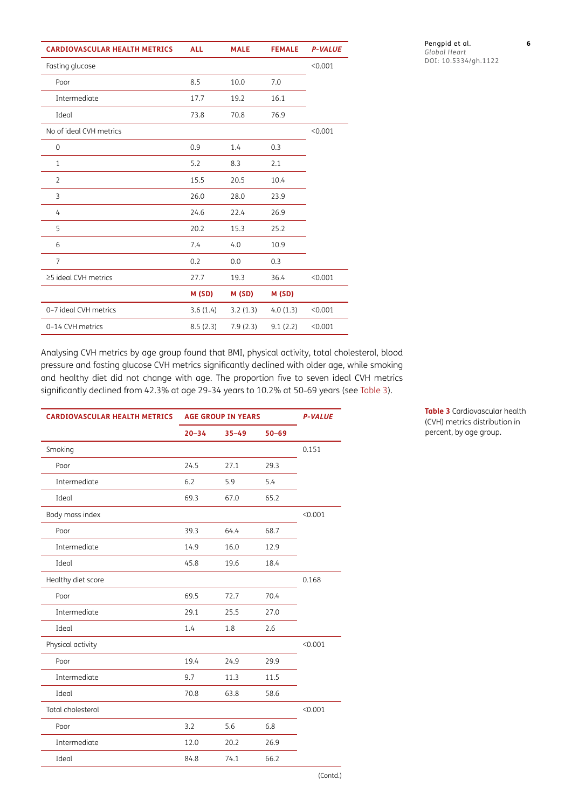| <b>CARDIOVASCULAR HEALTH METRICS</b> | <b>ALL</b> | <b>MALE</b> | <b>FEMALE</b> | <b>P-VALUE</b> |
|--------------------------------------|------------|-------------|---------------|----------------|
| Fasting glucose                      |            |             |               | < 0.001        |
| Poor                                 | 8.5        | 10.0        | 7.0           |                |
| Intermediate                         | 17.7       | 19.2        | 16.1          |                |
| Ideal                                | 73.8       | 70.8        | 76.9          |                |
| No of ideal CVH metrics              |            |             |               | < 0.001        |
| $\mathbf 0$                          | 0.9        | 1.4         | 0.3           |                |
| $\mathbf{1}$                         | 5.2        | 8.3         | 2.1           |                |
| $\overline{2}$                       | 15.5       | 20.5        | 10.4          |                |
| 3                                    | 26.0       | 28.0        | 23.9          |                |
| 4                                    | 24.6       | 22.4        | 26.9          |                |
| 5                                    | 20.2       | 15.3        | 25.2          |                |
| 6                                    | 7.4        | 4.0         | 10.9          |                |
| $\overline{7}$                       | 0.2        | 0.0         | 0.3           |                |
| $\geq$ 5 ideal CVH metrics           | 27.7       | 19.3        | 36.4          | < 0.001        |
|                                      | M (SD)     | M (SD)      | M (SD)        |                |
| 0-7 ideal CVH metrics                | 3.6(1.4)   | 3.2(1.3)    | 4.0(1.3)      | < 0.001        |
| 0-14 CVH metrics                     | 8.5(2.3)   | 7.9(2.3)    | 9.1(2.2)      | < 0.001        |

Pengpid et al. **6** *Global Heart* DOI: 10.5334/gh.1122

Analysing CVH metrics by age group found that BMI, physical activity, total cholesterol, blood pressure and fasting glucose CVH metrics significantly declined with older age, while smoking and healthy diet did not change with age. The proportion five to seven ideal CVH metrics significantly declined from 42.3% at age 29–34 years to 10.2% at 50–69 years (see [Table 3\)](#page-5-0).

| <b>CARDIOVASCULAR HEALTH METRICS</b> | <b>AGE GROUP IN YEARS</b> |           | <b>P-VALUE</b> |         |
|--------------------------------------|---------------------------|-----------|----------------|---------|
|                                      | $20 - 34$                 | $35 - 49$ | $50 - 69$      |         |
| Smoking                              |                           |           |                | 0.151   |
| Poor                                 | 24.5                      | 27.1      | 29.3           |         |
| Intermediate                         | 6.2                       | 5.9       | 5.4            |         |
| Ideal                                | 69.3                      | 67.0      | 65.2           |         |
| Body mass index                      |                           |           |                | < 0.001 |
| Poor                                 | 39.3                      | 64.4      | 68.7           |         |
| Intermediate                         | 14.9                      | 16.0      | 12.9           |         |
| Ideal                                | 45.8                      | 19.6      | 18.4           |         |
| Healthy diet score                   |                           |           |                | 0.168   |
| Poor                                 | 69.5                      | 72.7      | 70.4           |         |
| Intermediate                         | 29.1                      | 25.5      | 27.0           |         |
| Ideal                                | 1.4                       | 1.8       | 2.6            |         |
| Physical activity                    |                           |           |                | < 0.001 |
| Poor                                 | 19.4                      | 24.9      | 29.9           |         |
| Intermediate                         | 9.7                       | 11.3      | 11.5           |         |
| Ideal                                | 70.8                      | 63.8      | 58.6           |         |
| Total cholesterol                    |                           |           |                | < 0.001 |
| Poor                                 | 3.2                       | 5.6       | 6.8            |         |
| Intermediate                         | 12.0                      | 20.2      | 26.9           |         |
| Ideal                                | 84.8                      | 74.1      | 66.2           |         |

<span id="page-5-0"></span>**Table 3** Cardiovascular health (CVH) metrics distribution in percent, by age group.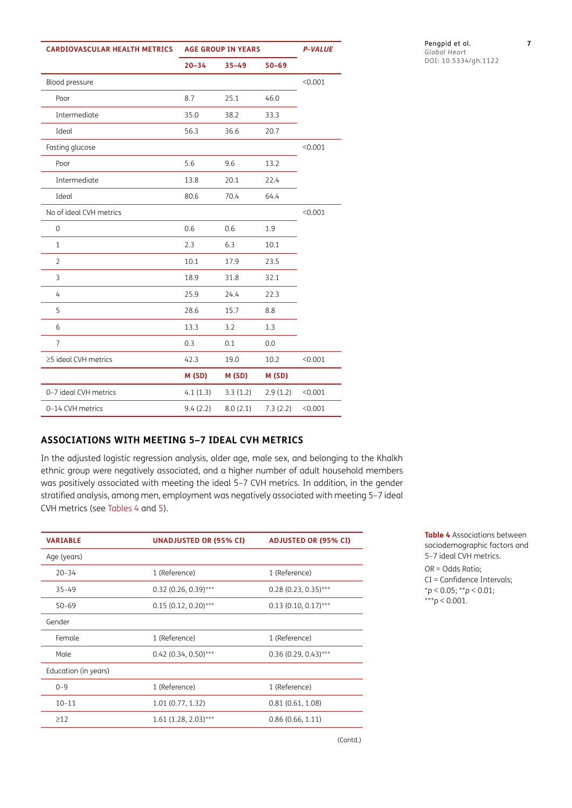| <b>CARDIOVASCULAR HEALTH METRICS</b> | <b>AGE GROUP IN YEARS</b> |           |           | <b>P-VALUE</b> |
|--------------------------------------|---------------------------|-----------|-----------|----------------|
|                                      | $20 - 34$                 | $35 - 49$ | $50 - 69$ |                |
| Blood pressure                       |                           |           |           | < 0.001        |
| Poor                                 | 8.7                       | 25.1      | 46.0      |                |
| Intermediate                         | 35.0                      | 38.2      | 33.3      |                |
| Ideal                                | 56.3                      | 36.6      | 20.7      |                |
| Fasting glucose                      |                           |           |           | < 0.001        |
| Poor                                 | 5.6                       | 9.6       | 13.2      |                |
| Intermediate                         | 13.8                      | 20.1      | 22.4      |                |
| Ideal                                | 80.6                      | 70.4      | 64.4      |                |
| No of ideal CVH metrics              |                           |           |           | < 0.001        |
| $\mathsf{O}\xspace$                  | 0.6                       | 0.6       | 1.9       |                |
| $\mathbf{1}$                         | 2.3                       | 6.3       | 10.1      |                |
| $\overline{2}$                       | 10.1                      | 17.9      | 23.5      |                |
| 3                                    | 18.9                      | 31.8      | 32.1      |                |
| $\overline{4}$                       | 25.9                      | 24.4      | 22.3      |                |
| 5                                    | 28.6                      | 15.7      | 8.8       |                |
| 6                                    | 13.3                      | 3.2       | 1.3       |                |
| $\overline{7}$                       | 0.3                       | 0.1       | 0.0       |                |
| ≥5 ideal CVH metrics                 | 42.3                      | 19.0      | 10.2      | < 0.001        |
|                                      | M (SD)                    | M (SD)    | M (SD)    |                |
| 0-7 ideal CVH metrics                | 4.1(1.3)                  | 3.3(1.2)  | 2.9(1.2)  | < 0.001        |
| 0-14 CVH metrics                     | 9.4(2.2)                  | 8.0(2.1)  | 7.3(2.2)  | < 0.001        |

#### Pengpid et al. **7**

*Global Heart* DOI: 10.5334/gh.1122

## **ASSOCIATIONS WITH MEETING 5–7 IDEAL CVH METRICS**

In the adjusted logistic regression analysis, older age, male sex, and belonging to the Khalkh ethnic group were negatively associated, and a higher number of adult household members was positively associated with meeting the ideal 5–7 CVH metrics. In addition, in the gender stratified analysis, among men, employment was negatively associated with meeting 5–7 ideal CVH metrics (see [Tables 4](#page-6-0) and [5](#page-7-0)).

| <b>VARIABLE</b>      | <b>UNADJUSTED OR (95% CI)</b> | <b>ADJUSTED OR (95% CI)</b> |
|----------------------|-------------------------------|-----------------------------|
| Age (years)          |                               |                             |
| $20 - 34$            | 1 (Reference)                 | 1 (Reference)               |
| $35 - 49$            | $0.32$ (0.26, 0.39)***        | $0.28$ (0.23, 0.35)***      |
| $50 - 69$            | $0.15(0.12, 0.20)$ ***        | $0.13$ (0.10, 0.17)***      |
| Gender               |                               |                             |
| Female               | 1 (Reference)                 | 1 (Reference)               |
| Male                 | $0.42$ (0.34, 0.50)***        | $0.36$ (0.29, 0.43)***      |
| Education (in years) |                               |                             |
| $0 - 9$              | 1 (Reference)                 | 1 (Reference)               |
| $10 - 11$            | 1.01 (0.77, 1.32)             | 0.81(0.61, 1.08)            |
| $\geq$ 12            | $1.61$ (1.28, 2.03)***        | 0.86(0.66, 1.11)            |
|                      |                               |                             |

<span id="page-6-0"></span>**Table 4** Associations between sociodemographic factors and 5–7 ideal CVH metrics. OR = Odds Ratio;

CI = Confidence Intervals; \**p* < 0.05; \*\**p* < 0.01;  $***p < 0.001$ .

(Contd.)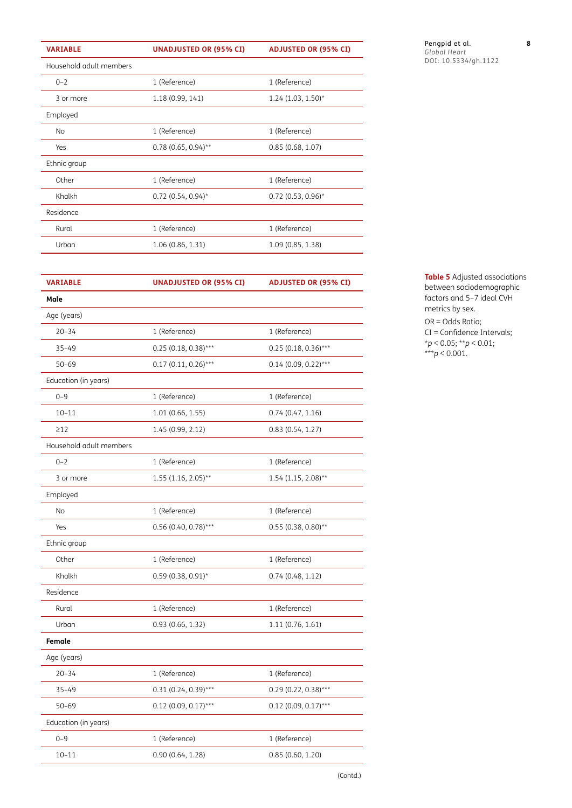| <b>VARIABLE</b>         | <b>UNADJUSTED OR (95% CI)</b> | <b>ADJUSTED OR (95% CI)</b> |
|-------------------------|-------------------------------|-----------------------------|
| Household adult members |                               |                             |
| $0 - 2$                 | 1 (Reference)                 | 1 (Reference)               |
| 3 or more               | 1.18 (0.99, 141)              | $1.24$ (1.03, 1.50)*        |
| Employed                |                               |                             |
| <b>No</b>               | 1 (Reference)                 | 1 (Reference)               |
| Yes                     | $0.78$ (0.65, 0.94)**         | 0.85(0.68, 1.07)            |
| Ethnic group            |                               |                             |
| Other                   | 1 (Reference)                 | 1 (Reference)               |
| Khalkh                  | $0.72$ (0.54, 0.94)*          | $0.72$ (0.53, 0.96)*        |
| Residence               |                               |                             |
| Rural                   | 1 (Reference)                 | 1 (Reference)               |
| Urban                   | 1.06 (0.86, 1.31)             | 1.09 (0.85, 1.38)           |

| Pengpid et al.       | 8 |
|----------------------|---|
| Global Heart         |   |
| DOI: 10.5334/gh.1122 |   |

<span id="page-7-0"></span>**Table 5** Adjusted associations between sociodemographic factors and 5–7 ideal CVH metrics by sex. OR = Odds Ratio; CI = Confidence Intervals; \**p* < 0.05; \*\**p* < 0.01;

\*\*\**p* < 0.001.

| <b>VARIABLE</b>         | <b>UNADJUSTED OR (95% CI)</b> | <b>ADJUSTED OR (95% CI)</b> |
|-------------------------|-------------------------------|-----------------------------|
| Male                    |                               |                             |
| Age (years)             |                               |                             |
| $20 - 34$               | 1 (Reference)                 | 1 (Reference)               |
| $35 - 49$               | $0.25(0.18, 0.38)$ ***        | $0.25$ (0.18, 0.36)***      |
| $50 - 69$               | $0.17(0.11, 0.26)$ ***        | $0.14$ (0.09, 0.22)***      |
| Education (in years)    |                               |                             |
| $0 - 9$                 | 1 (Reference)                 | 1 (Reference)               |
| $10 - 11$               | 1.01 (0.66, 1.55)             | 0.74(0.47, 1.16)            |
| $\geq$ 12               | 1.45 (0.99, 2.12)             | 0.83(0.54, 1.27)            |
| Household adult members |                               |                             |
| $0 - 2$                 | 1 (Reference)                 | 1 (Reference)               |
| 3 or more               | $1.55(1.16, 2.05)$ **         | $1.54$ (1.15, 2.08)**       |
| Employed                |                               |                             |
| No                      | 1 (Reference)                 | 1 (Reference)               |
| Yes                     | $0.56$ (0.40, 0.78)***        | $0.55$ (0.38, 0.80)**       |
| Ethnic group            |                               |                             |
| Other                   | 1 (Reference)                 | 1 (Reference)               |
| Khalkh                  | $0.59(0.38, 0.91)$ *          | 0.74(0.48, 1.12)            |
| Residence               |                               |                             |
| Rural                   | 1 (Reference)                 | 1 (Reference)               |
| Urban                   | 0.93 (0.66, 1.32)             | 1.11 (0.76, 1.61)           |
| Female                  |                               |                             |
| Age (years)             |                               |                             |
| $20 - 34$               | 1 (Reference)                 | 1 (Reference)               |
| $35 - 49$               | $0.31$ (0.24, 0.39)***        | $0.29$ (0.22, 0.38)***      |
| $50 - 69$               | $0.12$ (0.09, 0.17)***        | $0.12$ (0.09, 0.17)***      |
| Education (in years)    |                               |                             |
| $0 - 9$                 | 1 (Reference)                 | 1 (Reference)               |
| $10 - 11$               | 0.90(0.64, 1.28)              | 0.85(0.60, 1.20)            |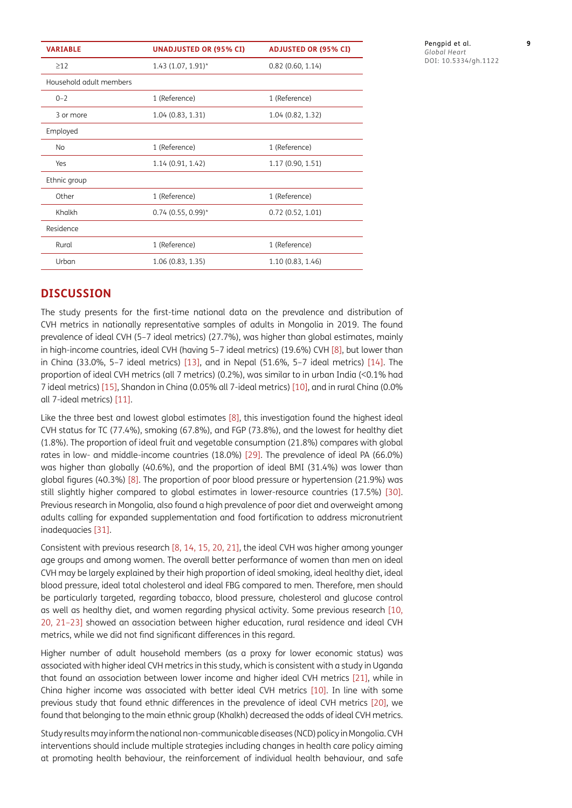| <b>VARIABLE</b>         | <b>UNADJUSTED OR (95% CI)</b> | <b>ADJUSTED OR (95% CI)</b> |
|-------------------------|-------------------------------|-----------------------------|
| $\geq$ 12               | $1.43$ (1.07, 1.91)*          | $0.82$ (0.60, 1.14)         |
| Household adult members |                               |                             |
| $0 - 2$                 | 1 (Reference)                 | 1 (Reference)               |
| 3 or more               | 1.04 (0.83, 1.31)             | 1.04 (0.82, 1.32)           |
| Employed                |                               |                             |
| <b>No</b>               | 1 (Reference)                 | 1 (Reference)               |
| Yes                     | 1.14 (0.91, 1.42)             | 1.17 (0.90, 1.51)           |
| Ethnic group            |                               |                             |
| Other                   | 1 (Reference)                 | 1 (Reference)               |
| Khalkh                  | $0.74$ (0.55, 0.99)*          | 0.72(0.52, 1.01)            |
| Residence               |                               |                             |
| Rural                   | 1 (Reference)                 | 1 (Reference)               |
| Urban                   | 1.06 (0.83, 1.35)             | 1.10 (0.83, 1.46)           |

Pengpid et al. **9** *Global Heart* DOI: 10.5334/gh.1122

#### **DISCUSSION**

The study presents for the first-time national data on the prevalence and distribution of CVH metrics in nationally representative samples of adults in Mongolia in 2019. The found prevalence of ideal CVH (5–7 ideal metrics) (27.7%), was higher than global estimates, mainly in high-income countries, ideal CVH (having 5–7 ideal metrics) (19.6%) CVH [\[8\]](#page-10-7), but lower than in China (33.0%, 5–7 ideal metrics) [\[13\]](#page-10-12), and in Nepal (51.6%, 5–7 ideal metrics) [\[14\]](#page-10-13). The proportion of ideal CVH metrics (all 7 metrics) (0.2%), was similar to in urban India (<0.1% had 7 ideal metrics) [\[15\]](#page-10-14), Shandon in China (0.05% all 7-ideal metrics) [\[10\]](#page-10-9), and in rural China (0.0% all 7-ideal metrics) [\[11\].](#page-10-10)

Like the three best and lowest global estimates [\[8\]](#page-10-7), this investigation found the highest ideal CVH status for TC (77.4%), smoking (67.8%), and FGP (73.8%), and the lowest for healthy diet (1.8%). The proportion of ideal fruit and vegetable consumption (21.8%) compares with global rates in low- and middle-income countries (18.0%) [\[29\]](#page-11-9). The prevalence of ideal PA (66.0%) was higher than globally (40.6%), and the proportion of ideal BMI (31.4%) was lower than global figures (40.3%) [\[8\]](#page-10-7). The proportion of poor blood pressure or hypertension (21.9%) was still slightly higher compared to global estimates in lower-resource countries (17.5%) [\[30\]](#page-11-10). Previous research in Mongolia, also found a high prevalence of poor diet and overweight among adults calling for expanded supplementation and food fortification to address micronutrient inadequacies [\[31\].](#page-11-11)

Consistent with previous research [[8](#page-10-7), [14,](#page-10-13) [15,](#page-10-14) [20](#page-11-0), [21](#page-11-1)], the ideal CVH was higher among younger age groups and among women. The overall better performance of women than men on ideal CVH may be largely explained by their high proportion of ideal smoking, ideal healthy diet, ideal blood pressure, ideal total cholesterol and ideal FBG compared to men. Therefore, men should be particularly targeted, regarding tobacco, blood pressure, cholesterol and glucose control as well as healthy diet, and women regarding physical activity. Some previous research [\[10](#page-10-9), [20,](#page-11-0) [21–](#page-11-1)[23](#page-11-3)] showed an association between higher education, rural residence and ideal CVH metrics, while we did not find significant differences in this regard.

Higher number of adult household members (as a proxy for lower economic status) was associated with higher ideal CVH metrics in this study, which is consistent with a study in Uganda that found an association between lower income and higher ideal CVH metrics [\[21\],](#page-11-1) while in China higher income was associated with better ideal CVH metrics [\[10\].](#page-10-9) In line with some previous study that found ethnic differences in the prevalence of ideal CVH metrics [\[20\]](#page-11-0), we found that belonging to the main ethnic group (Khalkh) decreased the odds of ideal CVH metrics.

Study results may inform the national non-communicable diseases (NCD) policy in Mongolia. CVH interventions should include multiple strategies including changes in health care policy aiming at promoting health behaviour, the reinforcement of individual health behaviour, and safe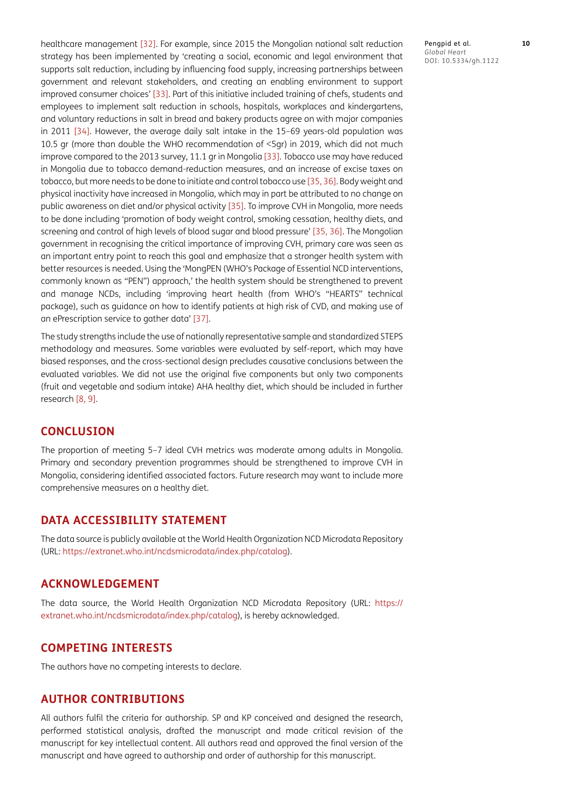healthcare management [\[32\]](#page-11-12). For example, since 2015 the Mongolian national salt reduction strategy has been implemented by 'creating a social, economic and legal environment that supports salt reduction, including by influencing food supply, increasing partnerships between government and relevant stakeholders, and creating an enabling environment to support improved consumer choices' [\[33\]](#page-11-13). Part of this initiative included training of chefs, students and employees to implement salt reduction in schools, hospitals, workplaces and kindergartens, and voluntary reductions in salt in bread and bakery products agree on with major companies in 2011 [\[34\]](#page-11-14). However, the average daily salt intake in the 15–69 years-old population was 10.5 gr (more than double the WHO recommendation of <5gr) in 2019, which did not much improve compared to the 2013 survey, 11.1 gr in Mongolia [\[33\]](#page-11-13). Tobacco use may have reduced in Mongolia due to tobacco demand-reduction measures, and an increase of excise taxes on tobacco, but more needs to be done to initiate and control tobacco use [[35](#page-11-15), [36](#page-11-16)]. Body weight and physical inactivity have increased in Mongolia, which may in part be attributed to no change on public awareness on diet and/or physical activity [\[35\].](#page-11-15) To improve CVH in Mongolia, more needs to be done including 'promotion of body weight control, smoking cessation, healthy diets, and screening and control of high levels of blood sugar and blood pressure' [\[35,](#page-11-15) [36](#page-11-16)]. The Mongolian government in recognising the critical importance of improving CVH, primary care was seen as an important entry point to reach this goal and emphasize that a stronger health system with better resources is needed. Using the 'MongPEN (WHO's Package of Essential NCD interventions, commonly known as "PEN") approach,' the health system should be strengthened to prevent and manage NCDs, including 'improving heart health (from WHO's "HEARTS" technical package), such as guidance on how to identify patients at high risk of CVD, and making use of an ePrescription service to gather data' [\[37\]](#page-11-17).

The study strengths include the use of nationally representative sample and standardized STEPS methodology and measures. Some variables were evaluated by self-report, which may have biased responses, and the cross-sectional design precludes causative conclusions between the evaluated variables. We did not use the original five components but only two components (fruit and vegetable and sodium intake) AHA healthy diet, which should be included in further research [\[8](#page-10-7), [9\]](#page-10-8).

#### **CONCLUSION**

The proportion of meeting 5–7 ideal CVH metrics was moderate among adults in Mongolia. Primary and secondary prevention programmes should be strengthened to improve CVH in Mongolia, considering identified associated factors. Future research may want to include more comprehensive measures on a healthy diet.

#### **DATA ACCESSIBILITY STATEMENT**

The data source is publicly available at the World Health Organization NCD Microdata Repository (URL:<https://extranet.who.int/ncdsmicrodata/index.php/catalog>).

#### **ACKNOWLEDGEMENT**

The data source, the World Health Organization NCD Microdata Repository (URL: [https://](https://extranet.who.int/ncdsmicrodata/index.php/catalog) [extranet.who.int/ncdsmicrodata/index.php/catalog](https://extranet.who.int/ncdsmicrodata/index.php/catalog)), is hereby acknowledged.

#### **COMPETING INTERESTS**

The authors have no competing interests to declare.

#### **AUTHOR CONTRIBUTIONS**

All authors fulfil the criteria for authorship. SP and KP conceived and designed the research, performed statistical analysis, drafted the manuscript and made critical revision of the manuscript for key intellectual content. All authors read and approved the final version of the manuscript and have agreed to authorship and order of authorship for this manuscript.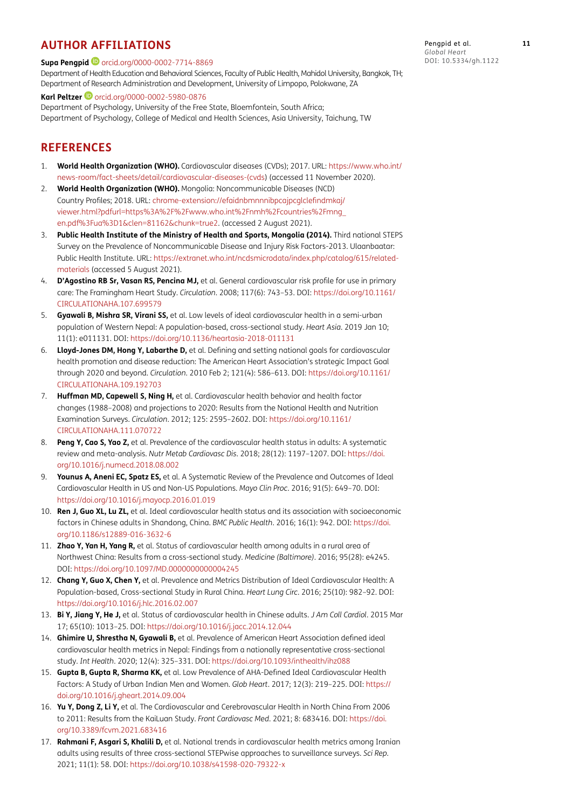## <span id="page-10-0"></span>**AUTHOR AFFILIATIONS**

#### **Supa Pengpid**  [orcid.org/0000-0002-7714-8869](https://orcid.org/0000-0002-7714-8869)

Department of Health Education and Behavioral Sciences, Faculty of Public Health, Mahidol University, Bangkok, TH; Department of Research Administration and Development, University of Limpopo, Polokwane, ZA

**Karl Peltzer ©** [orcid.org/0000-0002-5980-0876](https://orcid.org/0000-0002-5980-0876)

Department of Psychology, University of the Free State, Bloemfontein, South Africa; Department of Psychology, College of Medical and Health Sciences, Asia University, Taichung, TW

### **REFERENCES**

- <span id="page-10-1"></span>1. **World Health Organization (WHO).** Cardiovascular diseases (CVDs); 2017. URL: [https://www.who.int/](https://www.who.int/news-room/fact-sheets/detail/cardiovascular-diseases-(cvds) [news-room/fact-sheets/detail/cardiovascular-diseases-\(cvds\)](https://www.who.int/news-room/fact-sheets/detail/cardiovascular-diseases-(cvds) (accessed 11 November 2020).
- <span id="page-10-2"></span>2. **World Health Organization (WHO).** Mongolia: Noncommunicable Diseases (NCD) Country Profiles; 2018. URL: [chrome-extension://efaidnbmnnnibpcajpcglclefindmkaj/](chrome-extension://efaidnbmnnnibpcajpcglclefindmkaj/viewer.html?pdfurl=https%3A%2F%2Fwww.who.int%2Fnmh%2Fcountries%2Fmng_en.pdf%3Fua%3D1&clen=81162&chunk=true2) [viewer.html?pdfurl=https%3A%2F%2Fwww.who.int%2Fnmh%2Fcountries%2Fmng\\_](chrome-extension://efaidnbmnnnibpcajpcglclefindmkaj/viewer.html?pdfurl=https%3A%2F%2Fwww.who.int%2Fnmh%2Fcountries%2Fmng_en.pdf%3Fua%3D1&clen=81162&chunk=true2) [en.pdf%3Fua%3D1&clen=81162&chunk=true2.](chrome-extension://efaidnbmnnnibpcajpcglclefindmkaj/viewer.html?pdfurl=https%3A%2F%2Fwww.who.int%2Fnmh%2Fcountries%2Fmng_en.pdf%3Fua%3D1&clen=81162&chunk=true2) (accessed 2 August 2021).
- <span id="page-10-3"></span>3. **Public Health Institute of the Ministry of Health and Sports, Mongolia (2014).** Third national STEPS Survey on the Prevalence of Noncommunicable Disease and Injury Risk Factors-2013. Ulaanbaatar: Public Health Institute. URL: [https://extranet.who.int/ncdsmicrodata/index.php/catalog/615/related](https://extranet.who.int/ncdsmicrodata/index.php/catalog/615/related-materials)[materials](https://extranet.who.int/ncdsmicrodata/index.php/catalog/615/related-materials) (accessed 5 August 2021).
- 4. **D'Agostino RB Sr, Vasan RS, Pencina MJ,** et al. General cardiovascular risk profile for use in primary care: The Framingham Heart Study. *Circulation*. 2008; 117(6): 743–53. DOI: [https://doi.org/10.1161/](https://doi.org/10.1161/CIRCULATIONAHA.107.699579) [CIRCULATIONAHA.107.699579](https://doi.org/10.1161/CIRCULATIONAHA.107.699579)
- <span id="page-10-4"></span>5. **Gyawali B, Mishra SR, Virani SS,** et al. Low levels of ideal cardiovascular health in a semi-urban population of Western Nepal: A population-based, cross-sectional study. *Heart Asia*. 2019 Jan 10; 11(1): e011131. DOI: <https://doi.org/10.1136/heartasia-2018-011131>
- <span id="page-10-5"></span>6. **Lloyd-Jones DM, Hong Y, Labarthe D,** et al. Defining and setting national goals for cardiovascular health promotion and disease reduction: The American Heart Association's strategic Impact Goal through 2020 and beyond. *Circulation*. 2010 Feb 2; 121(4): 586–613. DOI: [https://doi.org/10.1161/](https://doi.org/10.1161/CIRCULATIONAHA.109.192703) [CIRCULATIONAHA.109.192703](https://doi.org/10.1161/CIRCULATIONAHA.109.192703)
- <span id="page-10-6"></span>7. **Huffman MD, Capewell S, Ning H,** et al. Cardiovascular health behavior and health factor changes (1988–2008) and projections to 2020: Results from the National Health and Nutrition Examination Surveys. *Circulation*. 2012; 125: 2595–2602. DOI: [https://doi.org/10.1161/](https://doi.org/10.1161/CIRCULATIONAHA.111.070722) [CIRCULATIONAHA.111.070722](https://doi.org/10.1161/CIRCULATIONAHA.111.070722)
- <span id="page-10-7"></span>8. **Peng Y, Cao S, Yao Z,** et al. Prevalence of the cardiovascular health status in adults: A systematic review and meta-analysis. *Nutr Metab Cardiovasc Dis*. 2018; 28(12): 1197–1207. DOI: [https://doi.](https://doi.org/10.1016/j.numecd.2018.08.002) [org/10.1016/j.numecd.2018.08.002](https://doi.org/10.1016/j.numecd.2018.08.002)
- <span id="page-10-8"></span>9. **Younus A, Aneni EC, Spatz ES,** et al. A Systematic Review of the Prevalence and Outcomes of Ideal Cardiovascular Health in US and Non-US Populations. *Mayo Clin Proc*. 2016; 91(5): 649–70. DOI: <https://doi.org/10.1016/j.mayocp.2016.01.019>
- <span id="page-10-9"></span>10. **Ren J, Guo XL, Lu ZL,** et al. Ideal cardiovascular health status and its association with socioeconomic factors in Chinese adults in Shandong, China. *BMC Public Health*. 2016; 16(1): 942. DOI: [https://doi.](https://doi.org/10.1186/s12889-016-3632-6) [org/10.1186/s12889-016-3632-6](https://doi.org/10.1186/s12889-016-3632-6)
- <span id="page-10-10"></span>11. **Zhao Y, Yan H, Yang R,** et al. Status of cardiovascular health among adults in a rural area of Northwest China: Results from a cross-sectional study. *Medicine (Baltimore)*. 2016; 95(28): e4245. DOI:<https://doi.org/10.1097/MD.0000000000004245>
- <span id="page-10-11"></span>12. **Chang Y, Guo X, Chen Y,** et al. Prevalence and Metrics Distribution of Ideal Cardiovascular Health: A Population-based, Cross-sectional Study in Rural China. *Heart Lung Circ*. 2016; 25(10): 982–92. DOI: <https://doi.org/10.1016/j.hlc.2016.02.007>
- <span id="page-10-12"></span>13. **Bi Y, Jiang Y, He J,** et al. Status of cardiovascular health in Chinese adults. *J Am Coll Cardiol*. 2015 Mar 17; 65(10): 1013–25. DOI:<https://doi.org/10.1016/j.jacc.2014.12.044>
- <span id="page-10-13"></span>14. **Ghimire U, Shrestha N, Gyawali B,** et al. Prevalence of American Heart Association defined ideal cardiovascular health metrics in Nepal: Findings from a nationally representative cross-sectional study. *Int Health*. 2020; 12(4): 325–331. DOI: <https://doi.org/10.1093/inthealth/ihz088>
- <span id="page-10-14"></span>15. **Gupta B, Gupta R, Sharma KK,** et al. Low Prevalence of AHA-Defined Ideal Cardiovascular Health Factors: A Study of Urban Indian Men and Women. *Glob Heart*. 2017; 12(3): 219–225. DOI: [https://](https://doi.org/10.1016/j.gheart.2014.09.004) [doi.org/10.1016/j.gheart.2014.09.004](https://doi.org/10.1016/j.gheart.2014.09.004)
- <span id="page-10-15"></span>16. **Yu Y, Dong Z, Li Y,** et al. The Cardiovascular and Cerebrovascular Health in North China From 2006 to 2011: Results from the KaiLuan Study. *Front Cardiovasc Med*. 2021; 8: 683416. DOI: [https://doi.](https://doi.org/10.3389/fcvm.2021.683416) [org/10.3389/fcvm.2021.683416](https://doi.org/10.3389/fcvm.2021.683416)
- <span id="page-10-16"></span>17. **Rahmani F, Asgari S, Khalili D,** et al. National trends in cardiovascular health metrics among Iranian adults using results of three cross-sectional STEPwise approaches to surveillance surveys. *Sci Rep*. 2021; 11(1): 58. DOI:<https://doi.org/10.1038/s41598-020-79322-x>

Pengpid et al. **11** *Global Heart* DOI: 10.5334/gh.1122